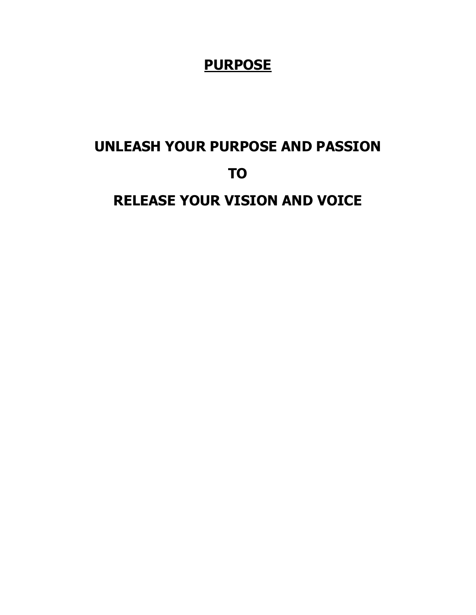### **PURPOSE**

# **UNLEASH YOUR PURPOSE AND PASSION TO**

**RELEASE YOUR VISION AND VOICE**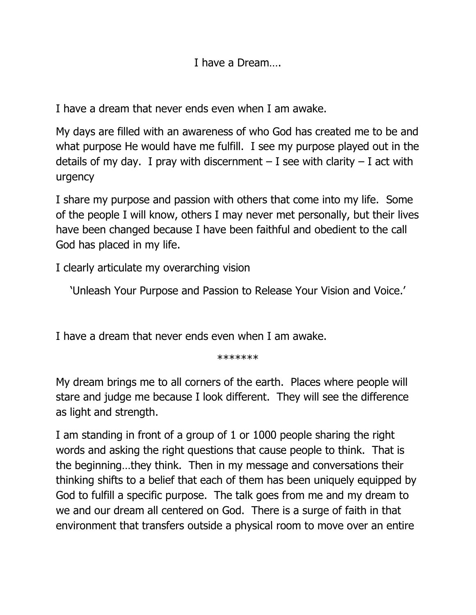I have a Dream….

I have a dream that never ends even when I am awake.

My days are filled with an awareness of who God has created me to be and what purpose He would have me fulfill. I see my purpose played out in the details of my day. I pray with discernment  $-$  I see with clarity  $-$  I act with urgency

I share my purpose and passion with others that come into my life. Some of the people I will know, others I may never met personally, but their lives have been changed because I have been faithful and obedient to the call God has placed in my life.

I clearly articulate my overarching vision

'Unleash Your Purpose and Passion to Release Your Vision and Voice.'

I have a dream that never ends even when I am awake.

\*\*\*\*\*\*\*

My dream brings me to all corners of the earth. Places where people will stare and judge me because I look different. They will see the difference as light and strength.

I am standing in front of a group of 1 or 1000 people sharing the right words and asking the right questions that cause people to think. That is the beginning…they think. Then in my message and conversations their thinking shifts to a belief that each of them has been uniquely equipped by God to fulfill a specific purpose. The talk goes from me and my dream to we and our dream all centered on God. There is a surge of faith in that environment that transfers outside a physical room to move over an entire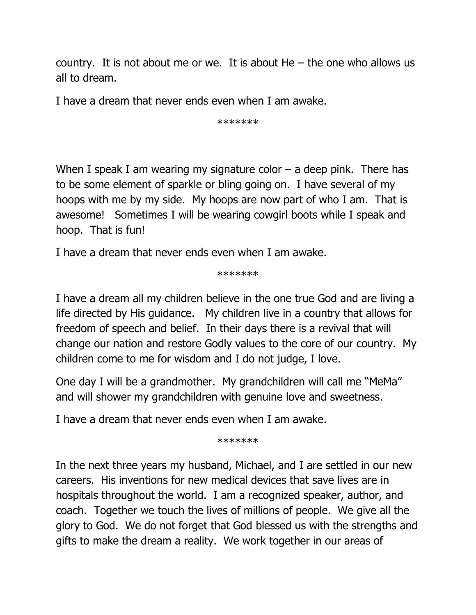country. It is not about me or we. It is about  $He$  – the one who allows us all to dream.

I have a dream that never ends even when I am awake.

\*\*\*\*\*\*\*

When I speak I am wearing my signature color  $-$  a deep pink. There has to be some element of sparkle or bling going on. I have several of my hoops with me by my side. My hoops are now part of who I am. That is awesome! Sometimes I will be wearing cowgirl boots while I speak and hoop. That is fun!

I have a dream that never ends even when I am awake.

\*\*\*\*\*\*\*

I have a dream all my children believe in the one true God and are living a life directed by His guidance. My children live in a country that allows for freedom of speech and belief. In their days there is a revival that will change our nation and restore Godly values to the core of our country. My children come to me for wisdom and I do not judge, I love.

One day I will be a grandmother. My grandchildren will call me "MeMa" and will shower my grandchildren with genuine love and sweetness.

I have a dream that never ends even when I am awake.

\*\*\*\*\*\*\*

In the next three years my husband, Michael, and I are settled in our new careers. His inventions for new medical devices that save lives are in hospitals throughout the world. I am a recognized speaker, author, and coach. Together we touch the lives of millions of people. We give all the glory to God. We do not forget that God blessed us with the strengths and gifts to make the dream a reality. We work together in our areas of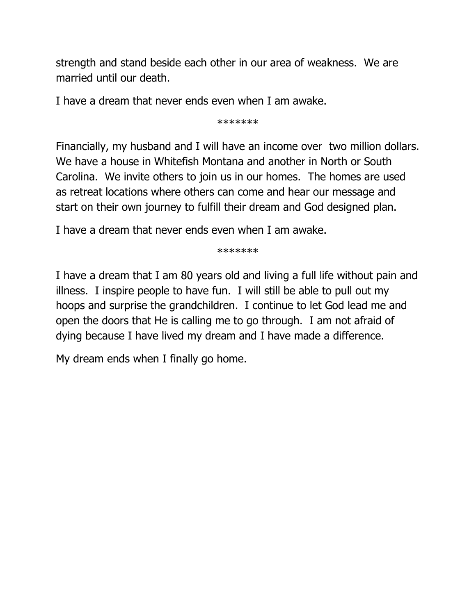strength and stand beside each other in our area of weakness. We are married until our death.

I have a dream that never ends even when I am awake.

\*\*\*\*\*\*\*

Financially, my husband and I will have an income over two million dollars. We have a house in Whitefish Montana and another in North or South Carolina. We invite others to join us in our homes. The homes are used as retreat locations where others can come and hear our message and start on their own journey to fulfill their dream and God designed plan.

I have a dream that never ends even when I am awake.

\*\*\*\*\*\*\*

I have a dream that I am 80 years old and living a full life without pain and illness. I inspire people to have fun. I will still be able to pull out my hoops and surprise the grandchildren. I continue to let God lead me and open the doors that He is calling me to go through. I am not afraid of dying because I have lived my dream and I have made a difference.

My dream ends when I finally go home.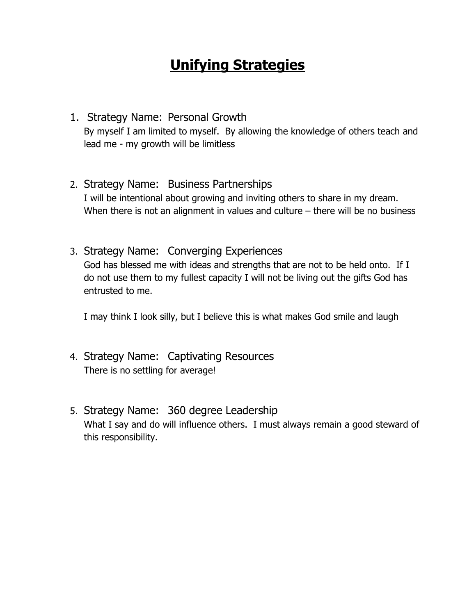## **Unifying Strategies**

- 1. Strategy Name: Personal Growth By myself I am limited to myself. By allowing the knowledge of others teach and lead me - my growth will be limitless
- 2. Strategy Name: Business Partnerships I will be intentional about growing and inviting others to share in my dream. When there is not an alignment in values and culture – there will be no business
- 3. Strategy Name: Converging Experiences God has blessed me with ideas and strengths that are not to be held onto. If I do not use them to my fullest capacity I will not be living out the gifts God has entrusted to me.

I may think I look silly, but I believe this is what makes God smile and laugh

- 4. Strategy Name: Captivating Resources There is no settling for average!
- 5. Strategy Name: 360 degree Leadership What I say and do will influence others. I must always remain a good steward of this responsibility.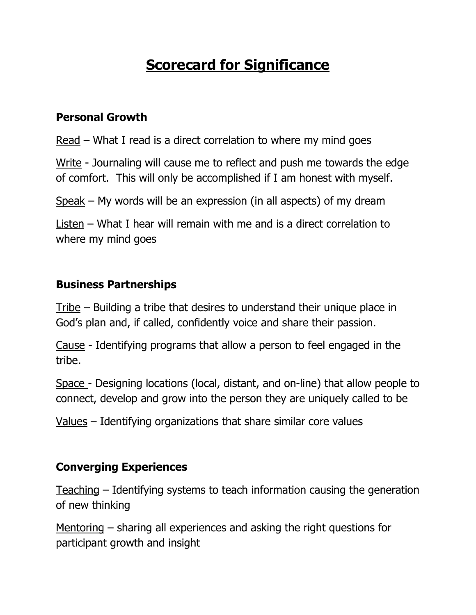## **Scorecard for Significance**

#### **Personal Growth**

Read – What I read is a direct correlation to where my mind goes

Write - Journaling will cause me to reflect and push me towards the edge of comfort. This will only be accomplished if I am honest with myself.

Speak – My words will be an expression (in all aspects) of my dream

Listen – What I hear will remain with me and is a direct correlation to where my mind goes

#### **Business Partnerships**

Tribe – Building a tribe that desires to understand their unique place in God's plan and, if called, confidently voice and share their passion.

Cause - Identifying programs that allow a person to feel engaged in the tribe.

Space - Designing locations (local, distant, and on-line) that allow people to connect, develop and grow into the person they are uniquely called to be

Values – Identifying organizations that share similar core values

#### **Converging Experiences**

Teaching – Identifying systems to teach information causing the generation of new thinking

Mentoring – sharing all experiences and asking the right questions for participant growth and insight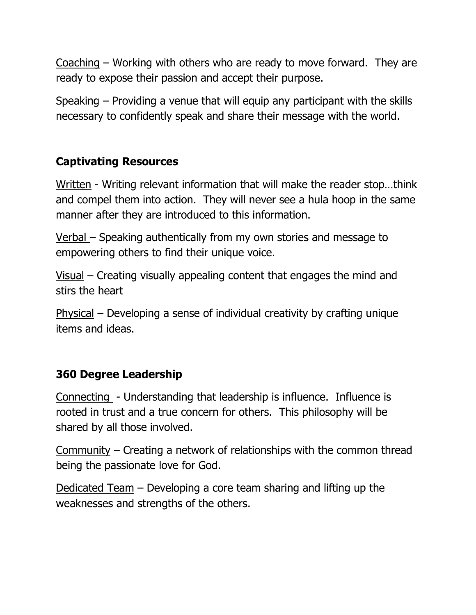Coaching – Working with others who are ready to move forward. They are ready to expose their passion and accept their purpose.

Speaking – Providing a venue that will equip any participant with the skills necessary to confidently speak and share their message with the world.

#### **Captivating Resources**

Written - Writing relevant information that will make the reader stop…think and compel them into action. They will never see a hula hoop in the same manner after they are introduced to this information.

Verbal – Speaking authentically from my own stories and message to empowering others to find their unique voice.

Visual – Creating visually appealing content that engages the mind and stirs the heart

Physical – Developing a sense of individual creativity by crafting unique items and ideas.

#### **360 Degree Leadership**

Connecting - Understanding that leadership is influence. Influence is rooted in trust and a true concern for others. This philosophy will be shared by all those involved.

Community – Creating a network of relationships with the common thread being the passionate love for God.

Dedicated Team – Developing a core team sharing and lifting up the weaknesses and strengths of the others.